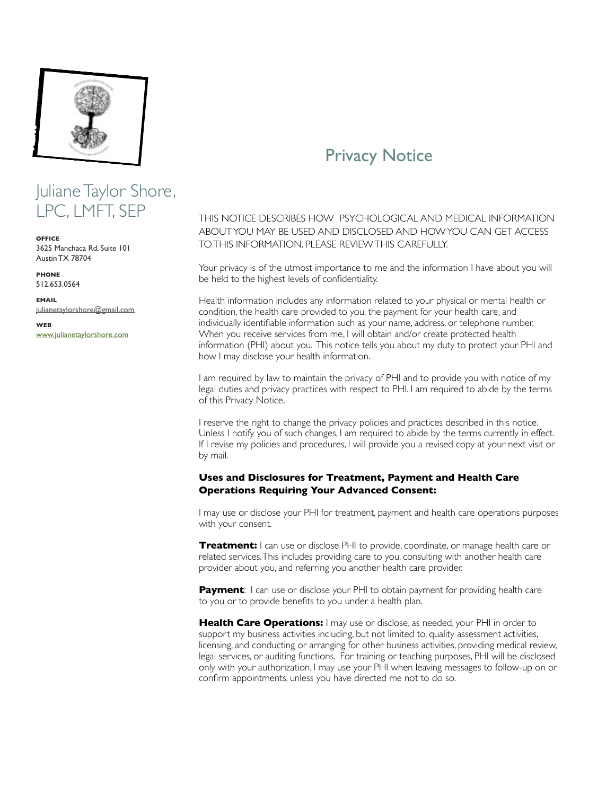

# Juliane Taylor Shore, LPC, LMFT, SEP

**OFFICE** 3625 Manchaca Rd, Suite 101 Austin TX 78704

**PHONE** 512.653.0564

**EMAIL** [julianetaylorshore@gmail.com](mailto:julianetaylorshore@gmail.com)

**WEB** [www.julianetaylorshore.com](http://www.julianetaylorshore.com)

# Privacy Notice

THIS NOTICE DESCRIBES HOW PSYCHOLOGICAL AND MEDICAL INFORMATION ABOUT YOU MAY BE USED AND DISCLOSED AND HOW YOU CAN GET ACCESS TO THIS INFORMATION. PLEASE REVIEW THIS CAREFULLY.

Your privacy is of the utmost importance to me and the information I have about you will be held to the highest levels of confidentiality.

Health information includes any information related to your physical or mental health or condition, the health care provided to you, the payment for your health care, and individually identifiable information such as your name, address, or telephone number. When you receive services from me, I will obtain and/or create protected health information (PHI) about you. This notice tells you about my duty to protect your PHI and how I may disclose your health information.

I am required by law to maintain the privacy of PHI and to provide you with notice of my legal duties and privacy practices with respect to PHI. I am required to abide by the terms of this Privacy Notice.

I reserve the right to change the privacy policies and practices described in this notice. Unless I notify you of such changes, I am required to abide by the terms currently in effect. If I revise my policies and procedures, I will provide you a revised copy at your next visit or by mail.

#### **Uses and Disclosures for Treatment, Payment and Health Care Operations Requiring Your Advanced Consent:**

I may use or disclose your PHI for treatment, payment and health care operations purposes with your consent.

**Treatment:** I can use or disclose PHI to provide, coordinate, or manage health care or related services. This includes providing care to you, consulting with another health care provider about you, and referring you another health care provider.

**Payment**: I can use or disclose your PHI to obtain payment for providing health care to you or to provide benefits to you under a health plan.

**Health Care Operations:** I may use or disclose, as needed, your PHI in order to support my business activities including, but not limited to, quality assessment activities, licensing, and conducting or arranging for other business activities, providing medical review, legal services, or auditing functions. For training or teaching purposes, PHI will be disclosed only with your authorization. I may use your PHI when leaving messages to follow-up on or confirm appointments, unless you have directed me not to do so.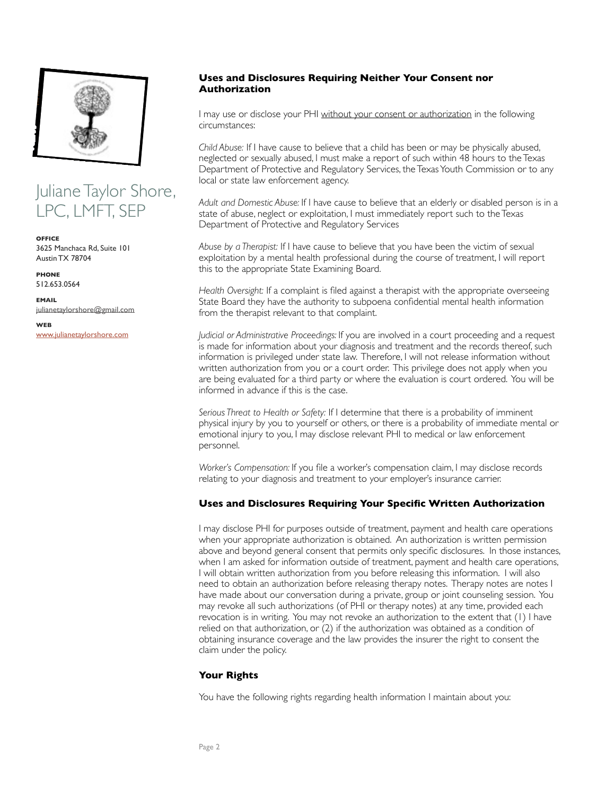

# Juliane Taylor Shore, LPC, LMFT, SEP

**OFFICE** 3625 Manchaca Rd, Suite 101 Austin TX 78704

**PHONE** 512.653.0564

**EMAIL** [julianetaylorshore@gmail.com](mailto:julianetaylorshore@gmail.com)

**WEB** [www.julianetaylorshore.com](http://www.julianetaylorshore.com)

#### **Uses and Disclosures Requiring Neither Your Consent nor Authorization**

I may use or disclose your PHI without your consent or authorization in the following circumstances:

*Child Abuse:* If I have cause to believe that a child has been or may be physically abused, neglected or sexually abused, I must make a report of such within 48 hours to the Texas Department of Protective and Regulatory Services, the Texas Youth Commission or to any local or state law enforcement agency.

*Adult and Domestic Abuse:* If I have cause to believe that an elderly or disabled person is in a state of abuse, neglect or exploitation, I must immediately report such to the Texas Department of Protective and Regulatory Services

*Abuse by a Therapist:* If I have cause to believe that you have been the victim of sexual exploitation by a mental health professional during the course of treatment, I will report this to the appropriate State Examining Board.

*Health Oversight:* If a complaint is filed against a therapist with the appropriate overseeing State Board they have the authority to subpoena confidential mental health information from the therapist relevant to that complaint.

*Judicial or Administrative Proceedings:* If you are involved in a court proceeding and a request is made for information about your diagnosis and treatment and the records thereof, such information is privileged under state law. Therefore, I will not release information without written authorization from you or a court order. This privilege does not apply when you are being evaluated for a third party or where the evaluation is court ordered. You will be informed in advance if this is the case.

*Serious Threat to Health or Safety:* If I determine that there is a probability of imminent physical injury by you to yourself or others, or there is a probability of immediate mental or emotional injury to you, I may disclose relevant PHI to medical or law enforcement personnel.

*Worker's Compensation:* If you file a worker's compensation claim, I may disclose records relating to your diagnosis and treatment to your employer's insurance carrier.

### **Uses and Disclosures Requiring Your Specific Written Authorization**

I may disclose PHI for purposes outside of treatment, payment and health care operations when your appropriate authorization is obtained. An authorization is written permission above and beyond general consent that permits only specific disclosures. In those instances, when I am asked for information outside of treatment, payment and health care operations, I will obtain written authorization from you before releasing this information. I will also need to obtain an authorization before releasing therapy notes. Therapy notes are notes I have made about our conversation during a private, group or joint counseling session. You may revoke all such authorizations (of PHI or therapy notes) at any time, provided each revocation is in writing. You may not revoke an authorization to the extent that (1) I have relied on that authorization, or (2) if the authorization was obtained as a condition of obtaining insurance coverage and the law provides the insurer the right to consent the claim under the policy.

#### **Your Rights**

You have the following rights regarding health information I maintain about you: